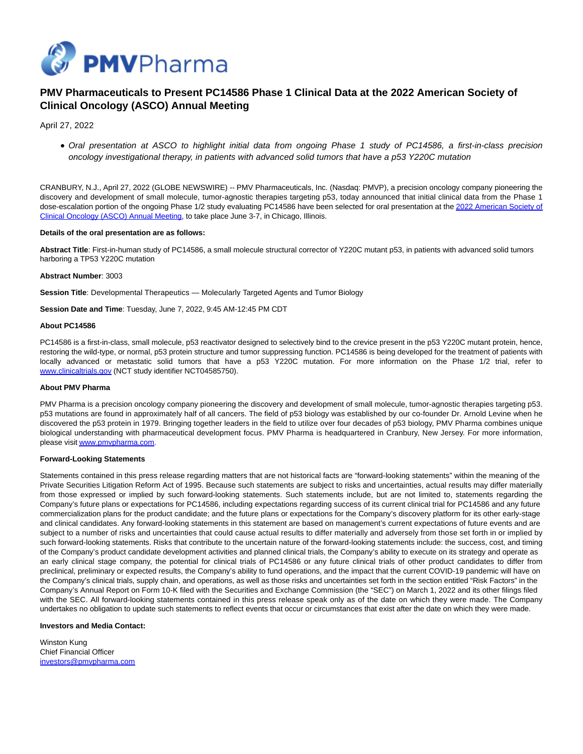

# **PMV Pharmaceuticals to Present PC14586 Phase 1 Clinical Data at the 2022 American Society of Clinical Oncology (ASCO) Annual Meeting**

April 27, 2022

Oral presentation at ASCO to highlight initial data from ongoing Phase 1 study of PC14586, a first-in-class precision oncology investigational therapy, in patients with advanced solid tumors that have a p53 Y220C mutation

CRANBURY, N.J., April 27, 2022 (GLOBE NEWSWIRE) -- PMV Pharmaceuticals, Inc. (Nasdaq: PMVP), a precision oncology company pioneering the discovery and development of small molecule, tumor-agnostic therapies targeting p53, today announced that initial clinical data from the Phase 1 dose-escalation [portion of the ongoing Phase 1/2 study evaluating PC14586 have been selected for oral presentation at the 2022 American Society of](https://www.globenewswire.com/Tracker?data=e6SYvy-j0pzbS6PTy4cDL8ZPLf6xmJOjMcpqCfyYlHsdhQABRQW8aBeSwlTAFD3U4sq-4Xtjf45hVwjK6qhpFEENoYs44rSN4FRmUTziXA2OLgVmyjBB4uS4hqnTVISMOnvCdYmJ4-ZDpR8S9UX6u7zeoS0MAAo8XPHQfjs0Gbg=) Clinical Oncology (ASCO) Annual Meeting, to take place June 3-7, in Chicago, Illinois.

#### **Details of the oral presentation are as follows:**

**Abstract Title**: First-in-human study of PC14586, a small molecule structural corrector of Y220C mutant p53, in patients with advanced solid tumors harboring a TP53 Y220C mutation

## **Abstract Number**: 3003

**Session Title**: Developmental Therapeutics — Molecularly Targeted Agents and Tumor Biology

**Session Date and Time**: Tuesday, June 7, 2022, 9:45 AM-12:45 PM CDT

#### **About PC14586**

PC14586 is a first-in-class, small molecule, p53 reactivator designed to selectively bind to the crevice present in the p53 Y220C mutant protein, hence, restoring the wild-type, or normal, p53 protein structure and tumor suppressing function. PC14586 is being developed for the treatment of patients with locally advanced or metastatic solid tumors that have a p53 Y220C mutation. For more information on the Phase 1/2 trial, refer to [www.clinicaltrials.gov \(](http://www.clinicaltrials.gov/)NCT study identifier NCT04585750).

### **About PMV Pharma**

PMV Pharma is a precision oncology company pioneering the discovery and development of small molecule, tumor-agnostic therapies targeting p53. p53 mutations are found in approximately half of all cancers. The field of p53 biology was established by our co-founder Dr. Arnold Levine when he discovered the p53 protein in 1979. Bringing together leaders in the field to utilize over four decades of p53 biology, PMV Pharma combines unique biological understanding with pharmaceutical development focus. PMV Pharma is headquartered in Cranbury, New Jersey. For more information, please visi[t www.pmvpharma.com.](https://www.globenewswire.com/Tracker?data=iubxzLFvdjcdpRhG3yW4R5mtARWhw_ywsI2Ki-6KAI4AIJy4cYyMIauC1DV5joy0zpdl1l4cv0T5IHg_UlxerPCaX_lmhWAVFWB77Jw2izs=)

#### **Forward-Looking Statements**

Statements contained in this press release regarding matters that are not historical facts are "forward-looking statements" within the meaning of the Private Securities Litigation Reform Act of 1995. Because such statements are subject to risks and uncertainties, actual results may differ materially from those expressed or implied by such forward-looking statements. Such statements include, but are not limited to, statements regarding the Company's future plans or expectations for PC14586, including expectations regarding success of its current clinical trial for PC14586 and any future commercialization plans for the product candidate; and the future plans or expectations for the Company's discovery platform for its other early-stage and clinical candidates. Any forward-looking statements in this statement are based on management's current expectations of future events and are subject to a number of risks and uncertainties that could cause actual results to differ materially and adversely from those set forth in or implied by such forward-looking statements. Risks that contribute to the uncertain nature of the forward-looking statements include: the success, cost, and timing of the Company's product candidate development activities and planned clinical trials, the Company's ability to execute on its strategy and operate as an early clinical stage company, the potential for clinical trials of PC14586 or any future clinical trials of other product candidates to differ from preclinical, preliminary or expected results, the Company's ability to fund operations, and the impact that the current COVID-19 pandemic will have on the Company's clinical trials, supply chain, and operations, as well as those risks and uncertainties set forth in the section entitled "Risk Factors" in the Company's Annual Report on Form 10-K filed with the Securities and Exchange Commission (the "SEC") on March 1, 2022 and its other filings filed with the SEC. All forward-looking statements contained in this press release speak only as of the date on which they were made. The Company undertakes no obligation to update such statements to reflect events that occur or circumstances that exist after the date on which they were made.

## **Investors and Media Contact:**

Winston Kung Chief Financial Officer [investors@pmvpharma.com](https://www.globenewswire.com/Tracker?data=GADKdhs-m_9oLgShci6DCiAMXH0raGT8GTtJDWzloOcgLdPSpp4XjMcbpR0-qG1ubJU4XnQ7S3W2nvdqQMWkbZb06aM-yBblcgjzcL_b4IY=)